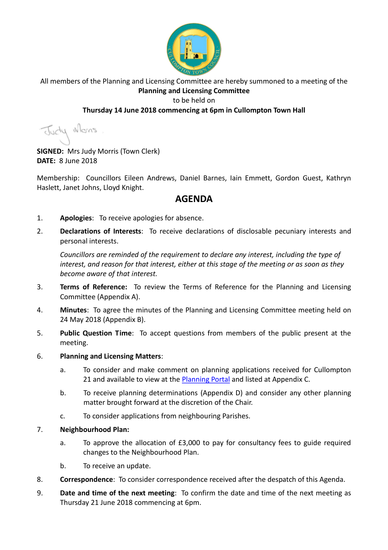

All members of the Planning and Licensing Committee are hereby summoned to a meeting of the **Planning and Licensing Committee** to be held on

## **Thursday 14 June 2018 commencing at 6pm in Cullompton Town Hall**

Judy Mons

**SIGNED:** Mrs Judy Morris (Town Clerk) **DATE:** 8 June 2018

Membership: Councillors Eileen Andrews, Daniel Barnes, Iain Emmett, Gordon Guest, Kathryn Haslett, Janet Johns, Lloyd Knight.

## **AGENDA**

- 1. **Apologies**: To receive apologies for absence.
- 2. **Declarations of Interests**: To receive declarations of disclosable pecuniary interests and personal interests.

*Councillors are reminded of the requirement to declare any interest, including the type of interest, and reason for that interest, either at this stage of the meeting or as soon as they become aware of that interest.*

- 3. **Terms of Reference:** To review the Terms of Reference for the Planning and Licensing Committee (Appendix A).
- 4. **Minutes**: To agree the minutes of the Planning and Licensing Committee meeting held on 24 May 2018 (Appendix B).
- 5. **Public Question Time**: To accept questions from members of the public present at the meeting.
- 6. **Planning and Licensing Matters**:
	- a. To consider and make comment on planning applications received for Cullompton 21 and available to view at the [Planning Portal](https://planning.middevon.gov.uk/online-applications/search.do?action=simple&searchType=BuildingControl) and listed at Appendix C.
	- b. To receive planning determinations (Appendix D) and consider any other planning matter brought forward at the discretion of the Chair.
	- c. To consider applications from neighbouring Parishes.
- 7. **Neighbourhood Plan:**
	- a. To approve the allocation of £3,000 to pay for consultancy fees to guide required changes to the Neighbourhood Plan.
	- b. To receive an update.
- 8. **Correspondence**: To consider correspondence received after the despatch of this Agenda.
- 9. **Date and time of the next meeting**: To confirm the date and time of the next meeting as Thursday 21 June 2018 commencing at 6pm.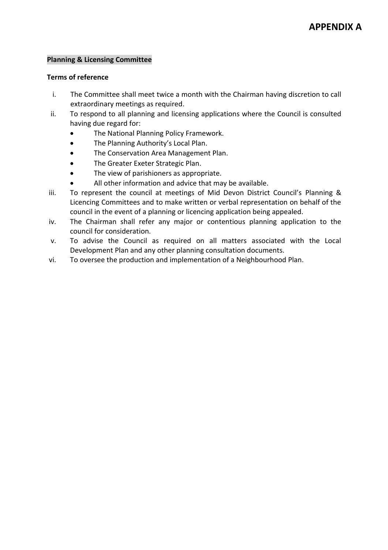## **Planning & Licensing Committee**

## **Terms of reference**

- i. The Committee shall meet twice a month with the Chairman having discretion to call extraordinary meetings as required.
- ii. To respond to all planning and licensing applications where the Council is consulted having due regard for:
	- The National Planning Policy Framework.
	- The Planning Authority's Local Plan.
	- The Conservation Area Management Plan.
	- The Greater Exeter Strategic Plan.
	- The view of parishioners as appropriate.
	- All other information and advice that may be available.
- iii. To represent the council at meetings of Mid Devon District Council's Planning & Licencing Committees and to make written or verbal representation on behalf of the council in the event of a planning or licencing application being appealed.
- iv. The Chairman shall refer any major or contentious planning application to the council for consideration.
- v. To advise the Council as required on all matters associated with the Local Development Plan and any other planning consultation documents.
- vi. To oversee the production and implementation of a Neighbourhood Plan.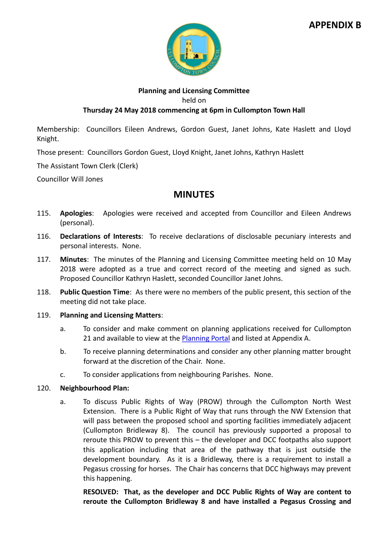

## **Planning and Licensing Committee** held on **Thursday 24 May 2018 commencing at 6pm in Cullompton Town Hall**

Membership: Councillors Eileen Andrews, Gordon Guest, Janet Johns, Kate Haslett and Lloyd Knight.

Those present: Councillors Gordon Guest, Lloyd Knight, Janet Johns, Kathryn Haslett

The Assistant Town Clerk (Clerk)

Councillor Will Jones

# **MINUTES**

- 115. **Apologies**: Apologies were received and accepted from Councillor and Eileen Andrews (personal).
- 116. **Declarations of Interests**: To receive declarations of disclosable pecuniary interests and personal interests. None.
- 117. **Minutes**: The minutes of the Planning and Licensing Committee meeting held on 10 May 2018 were adopted as a true and correct record of the meeting and signed as such. Proposed Councillor Kathryn Haslett, seconded Councillor Janet Johns.
- 118. **Public Question Time**: As there were no members of the public present, this section of the meeting did not take place.

## 119. **Planning and Licensing Matters**:

- a. To consider and make comment on planning applications received for Cullompton 21 and available to view at the **Planning Portal** and listed at Appendix A.
- b. To receive planning determinations and consider any other planning matter brought forward at the discretion of the Chair. None.
- c. To consider applications from neighbouring Parishes. None.

## 120. **Neighbourhood Plan:**

a. To discuss Public Rights of Way (PROW) through the Cullompton North West Extension. There is a Public Right of Way that runs through the NW Extension that will pass between the proposed school and sporting facilities immediately adjacent (Cullompton Bridleway 8). The council has previously supported a proposal to reroute this PROW to prevent this – the developer and DCC footpaths also support this application including that area of the pathway that is just outside the development boundary. As it is a Bridleway, there is a requirement to install a Pegasus crossing for horses. The Chair has concerns that DCC highways may prevent this happening.

**RESOLVED: That, as the developer and DCC Public Rights of Way are content to reroute the Cullompton Bridleway 8 and have installed a Pegasus Crossing and**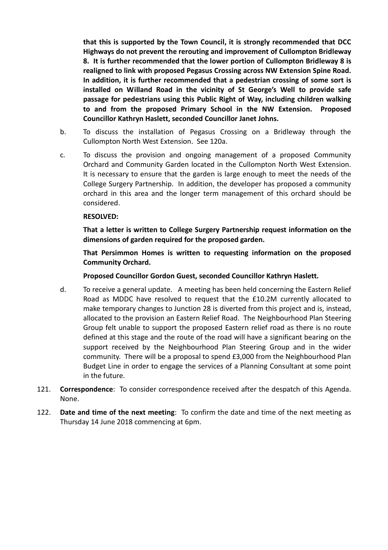**that this is supported by the Town Council, it is strongly recommended that DCC Highways do not prevent the rerouting and improvement of Cullompton Bridleway 8. It is further recommended that the lower portion of Cullompton Bridleway 8 is realigned to link with proposed Pegasus Crossing across NW Extension Spine Road. In addition, it is further recommended that a pedestrian crossing of some sort is installed on Willand Road in the vicinity of St George's Well to provide safe passage for pedestrians using this Public Right of Way, including children walking to and from the proposed Primary School in the NW Extension. Proposed Councillor Kathryn Haslett, seconded Councillor Janet Johns.**

- b. To discuss the installation of Pegasus Crossing on a Bridleway through the Cullompton North West Extension. See 120a.
- c. To discuss the provision and ongoing management of a proposed Community Orchard and Community Garden located in the Cullompton North West Extension. It is necessary to ensure that the garden is large enough to meet the needs of the College Surgery Partnership. In addition, the developer has proposed a community orchard in this area and the longer term management of this orchard should be considered.

## **RESOLVED:**

**That a letter is written to College Surgery Partnership request information on the dimensions of garden required for the proposed garden.**

**That Persimmon Homes is written to requesting information on the proposed Community Orchard.**

**Proposed Councillor Gordon Guest, seconded Councillor Kathryn Haslett.**

- d. To receive a general update. A meeting has been held concerning the Eastern Relief Road as MDDC have resolved to request that the £10.2M currently allocated to make temporary changes to Junction 28 is diverted from this project and is, instead, allocated to the provision an Eastern Relief Road. The Neighbourhood Plan Steering Group felt unable to support the proposed Eastern relief road as there is no route defined at this stage and the route of the road will have a significant bearing on the support received by the Neighbourhood Plan Steering Group and in the wider community. There will be a proposal to spend £3,000 from the Neighbourhood Plan Budget Line in order to engage the services of a Planning Consultant at some point in the future.
- 121. **Correspondence**: To consider correspondence received after the despatch of this Agenda. None.
- 122. **Date and time of the next meeting**: To confirm the date and time of the next meeting as Thursday 14 June 2018 commencing at 6pm.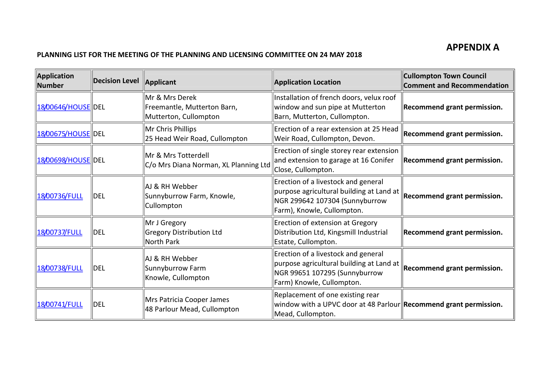## **PLANNING LIST FOR THE MEETING OF THE PLANNING AND LICENSING COMMITTEE ON 24 MAY 2018**

| Application<br><b>Number</b> | <b>Decision Level</b> | Applicant                                                              | <b>Application Location</b>                                                                                                                     | <b>Cullompton Town Council</b><br><b>Comment and Recommendation</b> |
|------------------------------|-----------------------|------------------------------------------------------------------------|-------------------------------------------------------------------------------------------------------------------------------------------------|---------------------------------------------------------------------|
| 18/00646/HOUSE DEL           |                       | Mr & Mrs Derek<br>Freemantle, Mutterton Barn,<br>Mutterton, Cullompton | Installation of french doors, velux roof<br>window and sun pipe at Mutterton<br>Barn, Mutterton, Cullompton.                                    | Recommend grant permission.                                         |
| 18/00675/HOUSE DEL           |                       | Mr Chris Phillips<br>25 Head Weir Road, Cullompton                     | Erection of a rear extension at 25 Head<br>Weir Road, Cullompton, Devon.                                                                        | Recommend grant permission.                                         |
| 18/00698/HOUSE DEL           |                       | Mr & Mrs Totterdell<br>C/o Mrs Diana Norman, XL Planning Ltd           | Erection of single storey rear extension<br>and extension to garage at 16 Conifer<br>Close, Cullompton.                                         | Recommend grant permission.                                         |
| 18/00736/FULL                | DEL                   | AJ & RH Webber<br>Sunnyburrow Farm, Knowle,<br>Cullompton              | Erection of a livestock and general<br>purpose agricultural building at Land at<br>NGR 299642 107304 (Sunnyburrow<br>Farm), Knowle, Cullompton. | <b>Recommend grant permission.</b>                                  |
| 18/00737/FULL                | ldel!                 | Mr J Gregory<br>Gregory Distribution Ltd<br>North Park                 | Erection of extension at Gregory<br>Distribution Ltd, Kingsmill Industrial<br>Estate, Cullompton.                                               | Recommend grant permission.                                         |
| 18/00738/FULL                | ldel!                 | AJ & RH Webber<br>Sunnyburrow Farm<br>Knowle, Cullompton               | Erection of a livestock and general<br>purpose agricultural building at Land at<br>NGR 99651 107295 (Sunnyburrow<br>Farm) Knowle, Cullompton.   | Recommend grant permission.                                         |
| 18/00741/FULL                | <b>DEL</b>            | Mrs Patricia Cooper James<br>48 Parlour Mead, Cullompton               | Replacement of one existing rear<br>window with a UPVC door at 48 Parlour Recommend grant permission.<br>Mead, Cullompton.                      |                                                                     |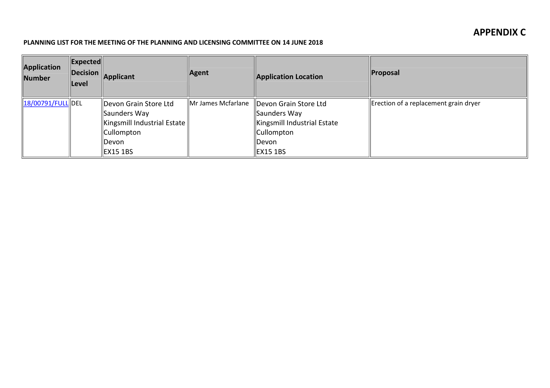# **APPENDIX B APPENDIX C**

### **PLANNING LIST FOR THE MEETING OF THE PLANNING AND LICENSING COMMITTEE ON 14 JUNE 2018**

| Application<br>Number   | $\ $ Expected $\ $<br>Level | Decision Applicant                      | Agent              | <b>Application Location</b> | Proposal                              |
|-------------------------|-----------------------------|-----------------------------------------|--------------------|-----------------------------|---------------------------------------|
| $\ 18/00791/FULL\ $ DEL |                             | Devon Grain Store Ltd                   | Mr James Mcfarlane | Devon Grain Store Ltd       | Erection of a replacement grain dryer |
|                         |                             | Saunders Way                            |                    | Saunders Way                |                                       |
|                         |                             | Kingsmill Industrial Estate $\parallel$ |                    | Kingsmill Industrial Estate |                                       |
|                         |                             | <b>Cullompton</b>                       |                    | Cullompton                  |                                       |
|                         |                             | Devon                                   |                    | llDevon.                    |                                       |
|                         |                             | EX15 1BS                                |                    | EX15 1BS                    |                                       |